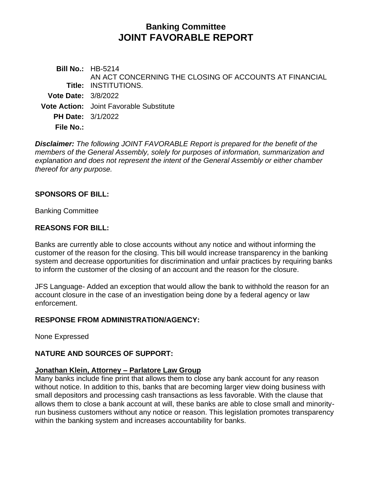# **Banking Committee JOINT FAVORABLE REPORT**

**Bill No.:** HB-5214 **Title:** INSTITUTIONS. AN ACT CONCERNING THE CLOSING OF ACCOUNTS AT FINANCIAL **Vote Date:** 3/8/2022 **Vote Action:** Joint Favorable Substitute **PH Date:** 3/1/2022 **File No.:**

*Disclaimer: The following JOINT FAVORABLE Report is prepared for the benefit of the members of the General Assembly, solely for purposes of information, summarization and explanation and does not represent the intent of the General Assembly or either chamber thereof for any purpose.*

## **SPONSORS OF BILL:**

Banking Committee

## **REASONS FOR BILL:**

Banks are currently able to close accounts without any notice and without informing the customer of the reason for the closing. This bill would increase transparency in the banking system and decrease opportunities for discrimination and unfair practices by requiring banks to inform the customer of the closing of an account and the reason for the closure.

JFS Language- Added an exception that would allow the bank to withhold the reason for an account closure in the case of an investigation being done by a federal agency or law enforcement.

## **RESPONSE FROM ADMINISTRATION/AGENCY:**

None Expressed

## **NATURE AND SOURCES OF SUPPORT:**

## **Jonathan Klein, Attorney – Parlatore Law Group**

Many banks include fine print that allows them to close any bank account for any reason without notice. In addition to this, banks that are becoming larger view doing business with small depositors and processing cash transactions as less favorable. With the clause that allows them to close a bank account at will, these banks are able to close small and minorityrun business customers without any notice or reason. This legislation promotes transparency within the banking system and increases accountability for banks.